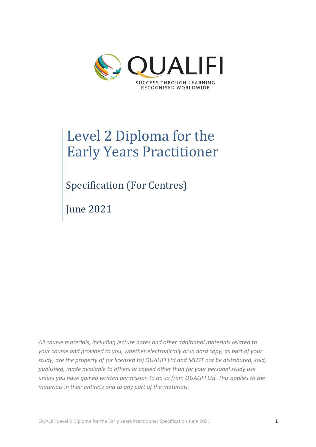

# Level 2 Diploma for the **Early Years Practitioner**

Specification (For Centres)

June 2021

*All course materials, including lecture notes and other additional materials related to your course and provided to you, whether electronically or in hard copy, as part of your study, are the property of (or licensed to) QUALIFI Ltd and MUST not be distributed, sold, published, made available to others or copied other than for your personal study use unless you have gained written permission to do so from QUALIFI Ltd. This applies to the materials in their entirety and to any part of the materials.*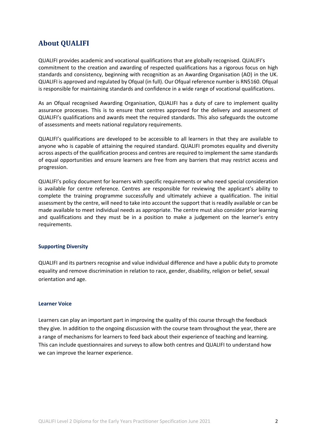# **About QUALIFI**

QUALIFI provides academic and vocational qualifications that are globally recognised. QUALIFI's commitment to the creation and awarding of respected qualifications has a rigorous focus on high standards and consistency, beginning with recognition as an Awarding Organisation (AO) in the UK. QUALIFI is approved and regulated by Ofqual (in full). Our Ofqual reference number is RN5160. Ofqual is responsible for maintaining standards and confidence in a wide range of vocational qualifications.

As an Ofqual recognised Awarding Organisation, QUALIFI has a duty of care to implement quality assurance processes. This is to ensure that centres approved for the delivery and assessment of QUALIFI's qualifications and awards meet the required standards. This also safeguards the outcome of assessments and meets national regulatory requirements.

QUALIFI's qualifications are developed to be accessible to all learners in that they are available to anyone who is capable of attaining the required standard. QUALIFI promotes equality and diversity across aspects of the qualification process and centres are required to implement the same standards of equal opportunities and ensure learners are free from any barriers that may restrict access and progression.

QUALIFI's policy document for learners with specific requirements or who need special consideration is available for centre reference. Centres are responsible for reviewing the applicant's ability to complete the training programme successfully and ultimately achieve a qualification. The initial assessment by the centre, will need to take into account the support that is readily available or can be made available to meet individual needs as appropriate. The centre must also consider prior learning and qualifications and they must be in a position to make a judgement on the learner's entry requirements.

#### **Supporting Diversity**

QUALIFI and its partners recognise and value individual difference and have a public duty to promote equality and remove discrimination in relation to race, gender, disability, religion or belief, sexual orientation and age.

#### **Learner Voice**

Learners can play an important part in improving the quality of this course through the feedback they give. In addition to the ongoing discussion with the course team throughout the year, there are a range of mechanisms for learners to feed back about their experience of teaching and learning. This can include questionnaires and surveys to allow both centres and QUALIFI to understand how we can improve the learner experience.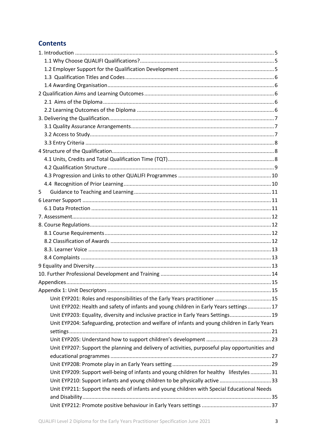# **Contents**

| 5                                                                                               |  |
|-------------------------------------------------------------------------------------------------|--|
|                                                                                                 |  |
|                                                                                                 |  |
|                                                                                                 |  |
|                                                                                                 |  |
|                                                                                                 |  |
|                                                                                                 |  |
|                                                                                                 |  |
|                                                                                                 |  |
|                                                                                                 |  |
|                                                                                                 |  |
|                                                                                                 |  |
|                                                                                                 |  |
| Unit EYP201: Roles and responsibilities of the Early Years practitioner  15                     |  |
| Unit EYP202: Health and safety of infants and young children in Early Years settings17          |  |
| Unit EYP203: Equality, diversity and inclusive practice in Early Years Settings 19              |  |
| Unit EYP204: Safeguarding, protection and welfare of infants and young children in Early Years  |  |
|                                                                                                 |  |
|                                                                                                 |  |
| Unit EYP207: Support the planning and delivery of activities, purposeful play opportunities and |  |
|                                                                                                 |  |
|                                                                                                 |  |
| Unit EYP209: Support well-being of infants and young children for healthy lifestyles  31        |  |
| Unit EYP210: Support infants and young children to be physically active 33                      |  |
| Unit EYP211: Support the needs of infants and young children with Special Educational Needs     |  |
|                                                                                                 |  |
|                                                                                                 |  |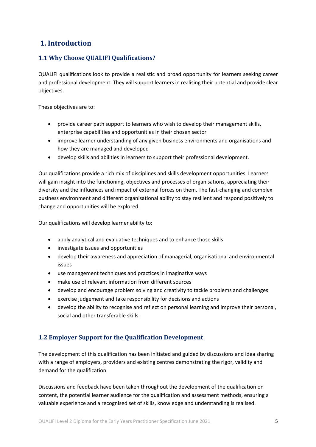# **1. Introduction**

# **1.1 Why Choose QUALIFI Qualifications?**

QUALIFI qualifications look to provide a realistic and broad opportunity for learners seeking career and professional development. They will support learners in realising their potential and provide clear objectives.

These objectives are to:

- provide career path support to learners who wish to develop their management skills, enterprise capabilities and opportunities in their chosen sector
- improve learner understanding of any given business environments and organisations and how they are managed and developed
- develop skills and abilities in learners to support their professional development.

Our qualifications provide a rich mix of disciplines and skills development opportunities. Learners will gain insight into the functioning, objectives and processes of organisations, appreciating their diversity and the influences and impact of external forces on them. The fast-changing and complex business environment and different organisational ability to stay resilient and respond positively to change and opportunities will be explored.

Our qualifications will develop learner ability to:

- apply analytical and evaluative techniques and to enhance those skills
- investigate issues and opportunities
- develop their awareness and appreciation of managerial, organisational and environmental issues
- use management techniques and practices in imaginative ways
- make use of relevant information from different sources
- develop and encourage problem solving and creativity to tackle problems and challenges
- exercise judgement and take responsibility for decisions and actions
- develop the ability to recognise and reflect on personal learning and improve their personal, social and other transferable skills.

# **1.2 Employer Support for the Qualification Development**

The development of this qualification has been initiated and guided by discussions and idea sharing with a range of employers, providers and existing centres demonstrating the rigor, validity and demand for the qualification.

Discussions and feedback have been taken throughout the development of the qualification on content, the potential learner audience for the qualification and assessment methods, ensuring a valuable experience and a recognised set of skills, knowledge and understanding is realised.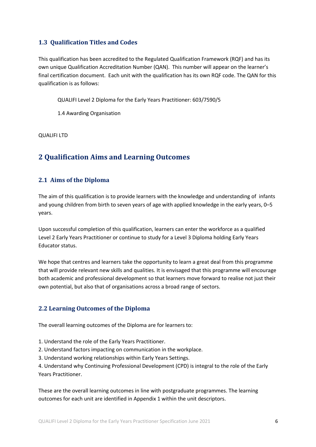# **1.3 Qualification Titles and Codes**

This qualification has been accredited to the Regulated Qualification Framework (RQF) and has its own unique Qualification Accreditation Number (QAN). This number will appear on the learner's final certification document. Each unit with the qualification has its own RQF code. The QAN for this qualification is as follows:

QUALIFI Level 2 Diploma for the Early Years Practitioner: 603/7590/5

1.4 Awarding Organisation

QUALIFI LTD

# **2 Qualification Aims and Learning Outcomes**

# **2.1 Aims of the Diploma**

The aim of this qualification is to provide learners with the knowledge and understanding of infants and young children from birth to seven years of age with applied knowledge in the early years, 0–5 years.

Upon successful completion of this qualification, learners can enter the workforce as a qualified Level 2 Early Years Practitioner or continue to study for a Level 3 Diploma holding Early Years Educator status.

We hope that centres and learners take the opportunity to learn a great deal from this programme that will provide relevant new skills and qualities. It is envisaged that this programme will encourage both academic and professional development so that learners move forward to realise not just their own potential, but also that of organisations across a broad range of sectors.

# **2.2 Learning Outcomes of the Diploma**

The overall learning outcomes of the Diploma are for learners to:

1. Understand the role of the Early Years Practitioner.

2. Understand factors impacting on communication in the workplace.

3. Understand working relationships within Early Years Settings.

4. Understand why Continuing Professional Development (CPD) is integral to the role of the Early Years Practitioner.

These are the overall learning outcomes in line with postgraduate programmes. The learning outcomes for each unit are identified in Appendix 1 within the unit descriptors.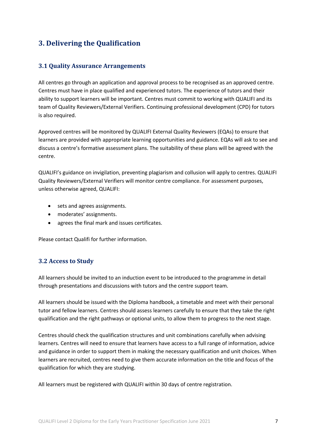# **3. Delivering the Qualification**

# **3.1 Quality Assurance Arrangements**

All centres go through an application and approval process to be recognised as an approved centre. Centres must have in place qualified and experienced tutors. The experience of tutors and their ability to support learners will be important. Centres must commit to working with QUALIFI and its team of Quality Reviewers/External Verifiers. Continuing professional development (CPD) for tutors is also required.

Approved centres will be monitored by QUALIFI External Quality Reviewers (EQAs) to ensure that learners are provided with appropriate learning opportunities and guidance. EQAs will ask to see and discuss a centre's formative assessment plans. The suitability of these plans will be agreed with the centre.

QUALIFI's guidance on invigilation, preventing plagiarism and collusion will apply to centres. QUALIFI Quality Reviewers/External Verifiers will monitor centre compliance. For assessment purposes, unless otherwise agreed, QUALIFI:

- sets and agrees assignments.
- moderates' assignments.
- agrees the final mark and issues certificates.

Please contact Qualifi for further information.

# **3.2 Access to Study**

All learners should be invited to an induction event to be introduced to the programme in detail through presentations and discussions with tutors and the centre support team.

All learners should be issued with the Diploma handbook, a timetable and meet with their personal tutor and fellow learners. Centres should assess learners carefully to ensure that they take the right qualification and the right pathways or optional units, to allow them to progress to the next stage.

Centres should check the qualification structures and unit combinations carefully when advising learners. Centres will need to ensure that learners have access to a full range of information, advice and guidance in order to support them in making the necessary qualification and unit choices. When learners are recruited, centres need to give them accurate information on the title and focus of the qualification for which they are studying.

All learners must be registered with QUALIFI within 30 days of centre registration.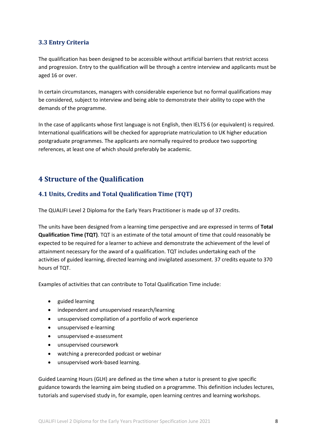# **3.3 Entry Criteria**

The qualification has been designed to be accessible without artificial barriers that restrict access and progression. Entry to the qualification will be through a centre interview and applicants must be aged 16 or over.

In certain circumstances, managers with considerable experience but no formal qualifications may be considered, subject to interview and being able to demonstrate their ability to cope with the demands of the programme.

In the case of applicants whose first language is not English, then IELTS 6 (or equivalent) is required. International qualifications will be checked for appropriate matriculation to UK higher education postgraduate programmes. The applicants are normally required to produce two supporting references, at least one of which should preferably be academic.

# **4 Structure of the Qualification**

# **4.1 Units, Credits and Total Qualification Time (TQT)**

The QUALIFI Level 2 Diploma for the Early Years Practitioner is made up of 37 credits.

The units have been designed from a learning time perspective and are expressed in terms of **Total Qualification Time (TQT)**. TQT is an estimate of the total amount of time that could reasonably be expected to be required for a learner to achieve and demonstrate the achievement of the level of attainment necessary for the award of a qualification. TQT includes undertaking each of the activities of guided learning, directed learning and invigilated assessment. 37 credits equate to 370 hours of TQT.

Examples of activities that can contribute to Total Qualification Time include:

- guided learning
- independent and unsupervised research/learning
- unsupervised compilation of a portfolio of work experience
- unsupervised e-learning
- unsupervised e-assessment
- unsupervised coursework
- watching a prerecorded podcast or webinar
- unsupervised work-based learning.

Guided Learning Hours (GLH) are defined as the time when a tutor is present to give specific guidance towards the learning aim being studied on a programme. This definition includes lectures, tutorials and supervised study in, for example, open learning centres and learning workshops.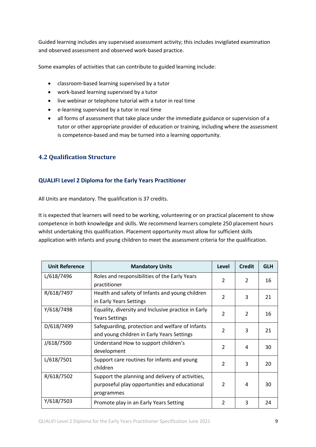Guided learning includes any supervised assessment activity; this includes invigilated examination and observed assessment and observed work-based practice.

Some examples of activities that can contribute to guided learning include:

- classroom-based learning supervised by a tutor
- work-based learning supervised by a tutor
- live webinar or telephone tutorial with a tutor in real time
- e-learning supervised by a tutor in real time
- all forms of assessment that take place under the immediate guidance or supervision of a tutor or other appropriate provider of education or training, including where the assessment is competence-based and may be turned into a learning opportunity.

# **4.2 Qualification Structure**

# **QUALIFI Level 2 Diploma for the Early Years Practitioner**

All Units are mandatory. The qualification is 37 credits.

It is expected that learners will need to be working, volunteering or on practical placement to show competence in both knowledge and skills. We recommend learners complete 250 placement hours whilst undertaking this qualification. Placement opportunity must allow for sufficient skills application with infants and young children to meet the assessment criteria for the qualification.

| <b>Unit Reference</b> | <b>Mandatory Units</b>                                                                                          | Level          | <b>Credit</b> | <b>GLH</b> |
|-----------------------|-----------------------------------------------------------------------------------------------------------------|----------------|---------------|------------|
| L/618/7496            | Roles and responsibilities of the Early Years<br>practitioner                                                   | $\mathcal{P}$  | $\mathcal{P}$ | 16         |
| R/618/7497            | Health and safety of Infants and young children<br>in Early Years Settings                                      | $\mathcal{P}$  | 3             | 21         |
| Y/618/7498            | Equality, diversity and Inclusive practice in Early<br><b>Years Settings</b>                                    | $\overline{2}$ | $\mathcal{P}$ | 16         |
| D/618/7499            | Safeguarding, protection and welfare of Infants<br>and young children in Early Years Settings                   | $\mathcal{P}$  | 3             | 21         |
| J/618/7500            | Understand How to support children's<br>development                                                             | $\overline{2}$ | 4             | 30         |
| L/618/7501            | Support care routines for infants and young<br>children                                                         | $\mathcal{P}$  | 3             | 20         |
| R/618/7502            | Support the planning and delivery of activities,<br>purposeful play opportunities and educational<br>programmes | $\mathcal{P}$  | 4             | 30         |
| Y/618/7503            | Promote play in an Early Years Setting                                                                          | $\mathcal{P}$  | 3             | 24         |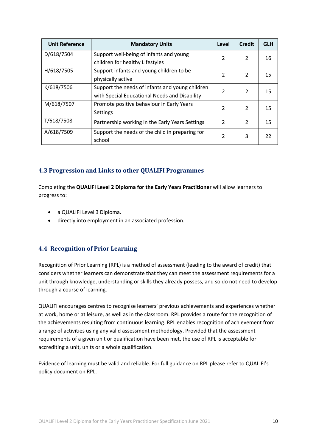| <b>Unit Reference</b> | <b>Mandatory Units</b>                                                     | Level          | <b>Credit</b> | <b>GLH</b> |
|-----------------------|----------------------------------------------------------------------------|----------------|---------------|------------|
| D/618/7504            | Support well-being of infants and young<br>children for healthy Lifestyles | $\mathfrak{p}$ | $\mathcal{P}$ | 16         |
| H/618/7505            | Support infants and young children to be                                   |                |               |            |
|                       | physically active                                                          | $\mathcal{P}$  | $\mathcal{L}$ | 15         |
| K/618/7506            | Support the needs of infants and young children                            | $\mathfrak z$  | $\mathcal{P}$ | 15         |
|                       | with Special Educational Needs and Disability                              |                |               |            |
| M/618/7507            | Promote positive behaviour in Early Years                                  | $\mathfrak{p}$ | $\mathcal{P}$ | 15         |
|                       | Settings                                                                   |                |               |            |
| T/618/7508            | Partnership working in the Early Years Settings                            | $\mathcal{P}$  | $\mathcal{P}$ | 15         |
| A/618/7509            | Support the needs of the child in preparing for                            | $\mathfrak{p}$ | 3             | 22         |
|                       | school                                                                     |                |               |            |

# **4.3 Progression and Links to other QUALIFI Programmes**

Completing the **QUALIFI Level 2 Diploma for the Early Years Practitioner** will allow learners to progress to:

- a QUALIFI Level 3 Diploma.
- directly into employment in an associated profession.

# **4.4 Recognition of Prior Learning**

Recognition of Prior Learning (RPL) is a method of assessment (leading to the award of credit) that considers whether learners can demonstrate that they can meet the assessment requirements for a unit through knowledge, understanding or skills they already possess, and so do not need to develop through a course of learning.

QUALIFI encourages centres to recognise learners' previous achievements and experiences whether at work, home or at leisure, as well as in the classroom. RPL provides a route for the recognition of the achievements resulting from continuous learning. RPL enables recognition of achievement from a range of activities using any valid assessment methodology. Provided that the assessment requirements of a given unit or qualification have been met, the use of RPL is acceptable for accrediting a unit, units or a whole qualification.

Evidence of learning must be valid and reliable. For full guidance on RPL please refer to QUALIFI's policy document on RPL.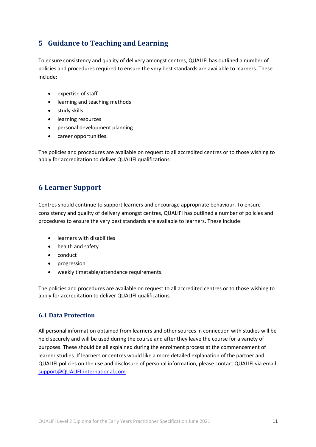# **5 Guidance to Teaching and Learning**

To ensure consistency and quality of delivery amongst centres, QUALIFI has outlined a number of policies and procedures required to ensure the very best standards are available to learners. These include:

- expertise of staff
- learning and teaching methods
- study skills
- learning resources
- personal development planning
- career opportunities.

The policies and procedures are available on request to all accredited centres or to those wishing to apply for accreditation to deliver QUALIFI qualifications.

# **6 Learner Support**

Centres should continue to support learners and encourage appropriate behaviour. To ensure consistency and quality of delivery amongst centres, QUALIFI has outlined a number of policies and procedures to ensure the very best standards are available to learners. These include:

- learners with disabilities
- health and safety
- conduct
- progression
- weekly timetable/attendance requirements.

The policies and procedures are available on request to all accredited centres or to those wishing to apply for accreditation to deliver QUALIFI qualifications.

# **6.1 Data Protection**

All personal information obtained from learners and other sources in connection with studies will be held securely and will be used during the course and after they leave the course for a variety of purposes. These should be all explained during the enrolment process at the commencement of learner studies. If learners or centres would like a more detailed explanation of the partner and QUALIFI policies on the use and disclosure of personal information, please contact QUALIFI via email support@QUALIFI-international.com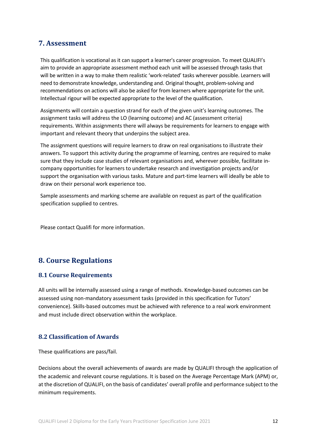# **7. Assessment**

This qualification is vocational as it can support a learner's career progression. To meet QUALIFI's aim to provide an appropriate assessment method each unit will be assessed through tasks that will be written in a way to make them realistic 'work-related' tasks wherever possible. Learners will need to demonstrate knowledge, understanding and. Original thought, problem-solving and recommendations on actions will also be asked for from learners where appropriate for the unit. Intellectual rigour will be expected appropriate to the level of the qualification.

Assignments will contain a question strand for each of the given unit's learning outcomes. The assignment tasks will address the LO (learning outcome) and AC (assessment criteria) requirements. Within assignments there will always be requirements for learners to engage with important and relevant theory that underpins the subject area.

The assignment questions will require learners to draw on real organisations to illustrate their answers. To support this activity during the programme of learning, centres are required to make sure that they include case studies of relevant organisations and, wherever possible, facilitate incompany opportunities for learners to undertake research and investigation projects and/or support the organisation with various tasks. Mature and part-time learners will ideally be able to draw on their personal work experience too.

Sample assessments and marking scheme are available on request as part of the qualification specification supplied to centres.

Please contact Qualifi for more information.

# **8. Course Regulations**

## **8.1 Course Requirements**

All units will be internally assessed using a range of methods. Knowledge-based outcomes can be assessed using non-mandatory assessment tasks (provided in this specification for Tutors' convenience). Skills-based outcomes must be achieved with reference to a real work environment and must include direct observation within the workplace.

## **8.2 Classification of Awards**

These qualifications are pass/fail.

Decisions about the overall achievements of awards are made by QUALIFI through the application of the academic and relevant course regulations. It is based on the Average Percentage Mark (APM) or, at the discretion of QUALIFI, on the basis of candidates' overall profile and performance subject to the minimum requirements.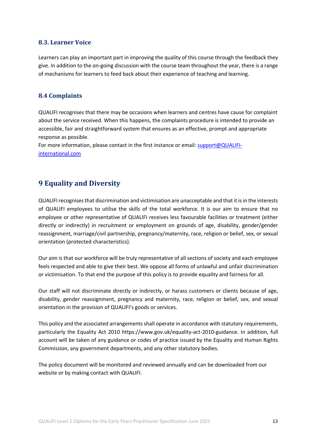# **8.3. Learner Voice**

Learners can play an important part in improving the quality of this course through the feedback they give. In addition to the on-going discussion with the course team throughout the year, there is a range of mechanisms for learners to feed back about their experience of teaching and learning.

## **8.4 Complaints**

QUALIFI recognises that there may be occasions when learners and centres have cause for complaint about the service received. When this happens, the complaints procedure is intended to provide an accessible, fair and straightforward system that ensures as an effective, prompt and appropriate response as possible.

For more information, please contact in the first instance or email: support@QUALIFIinternational.com

# **9 Equality and Diversity**

QUALIFIrecognises that discrimination and victimisation are unacceptable and that it is in the interests of QUALIFI employees to utilise the skills of the total workforce. It is our aim to ensure that no employee or other representative of QUALIFI receives less favourable facilities or treatment (either directly or indirectly) in recruitment or employment on grounds of age, disability, gender/gender reassignment, marriage/civil partnership, pregnancy/maternity, race, religion or belief, sex, or sexual orientation (protected characteristics).

Our aim is that our workforce will be truly representative of all sections of society and each employee feels respected and able to give their best. We oppose all forms of unlawful and unfair discrimination or victimisation. To that end the purpose of this policy is to provide equality and fairness for all.

Our staff will not discriminate directly or indirectly, or harass customers or clients because of age, disability, gender reassignment, pregnancy and maternity, race, religion or belief, sex, and sexual orientation in the provision of QUALIFI's goods or services.

This policy and the associated arrangements shall operate in accordance with statutory requirements, particularly the Equality Act 2010 https://www.gov.uk/equality-act-2010-guidance. In addition, full account will be taken of any guidance or codes of practice issued by the Equality and Human Rights Commission, any government departments, and any other statutory bodies.

The policy document will be monitored and reviewed annually and can be downloaded from our website or by making contact with QUALIFI.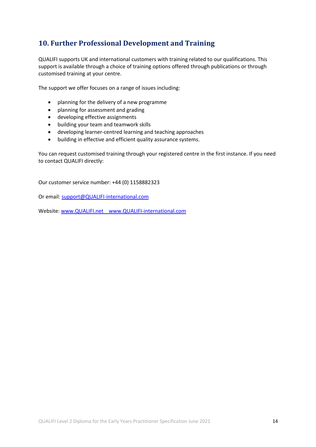# **10. Further Professional Development and Training**

QUALIFI supports UK and international customers with training related to our qualifications. This support is available through a choice of training options offered through publications or through customised training at your centre.

The support we offer focuses on a range of issues including:

- planning for the delivery of a new programme
- planning for assessment and grading
- developing effective assignments
- building your team and teamwork skills
- developing learner-centred learning and teaching approaches
- building in effective and efficient quality assurance systems.

You can request customised training through your registered centre in the first instance. If you need to contact QUALIFI directly:

Our customer service number: +44 (0) 1158882323

Or email: support@QUALIFI-international.com

Website: www.QUALIFI.net www.QUALIFI-international.com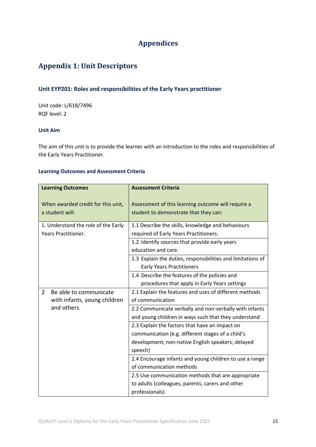# **Appendices**

# **Appendix 1: Unit Descriptors**

# **Unit EYP201: Roles and responsibilities of the Early Years practitioner**

Unit code: L/618/7496 RQF level: 2

#### **Unit Aim**

The aim of this unit is to provide the learner with an introduction to the roles and responsibilities of the Early Years Practitioner.

| <b>Learning Outcomes</b>                              | <b>Assessment Criteria</b>                                                                  |
|-------------------------------------------------------|---------------------------------------------------------------------------------------------|
| When awarded credit for this unit,<br>a student will: | Assessment of this learning outcome will require a<br>student to demonstrate that they can: |
| 1. Understand the role of the Early                   | 1.1 Describe the skills, knowledge and behaviours                                           |
| Years Practitioner.                                   | required of Early Years Practitioners.                                                      |
|                                                       | 1.2 Identify sources that provide early years                                               |
|                                                       | education and care.                                                                         |
|                                                       | 1.3 Explain the duties, responsibilities and limitations of                                 |
|                                                       | <b>Early Years Practitioners</b>                                                            |
|                                                       | 1.4 Describe the features of the policies and                                               |
|                                                       | procedures that apply in Early Years settings                                               |
| 2<br>Be able to communicate                           | 2.1 Explain the features and uses of different methods                                      |
| with infants, young children                          | of communication                                                                            |
| and others.                                           | 2.2 Communicate verbally and non-verbally with infants                                      |
|                                                       | and young children in ways such that they understand                                        |
|                                                       | 2.3 Explain the factors that have an impact on                                              |
|                                                       | communication (e.g. different stages of a child's                                           |
|                                                       | development; non-native English speakers; delayed                                           |
|                                                       | speech)                                                                                     |
|                                                       | 2.4 Encourage infants and young children to use a range                                     |
|                                                       | of communication methods                                                                    |
|                                                       | 2.5 Use communication methods that are appropriate                                          |
|                                                       | to adults (colleagues, parents, carers and other                                            |
|                                                       | professionals)                                                                              |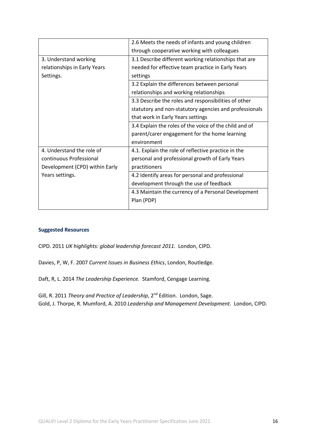|                                | 2.6 Meets the needs of infants and young children      |
|--------------------------------|--------------------------------------------------------|
|                                | through cooperative working with colleagues            |
| 3. Understand working          | 3.1 Describe different working relationships that are  |
| relationships in Early Years   | needed for effective team practice in Early Years      |
| Settings.                      | settings                                               |
|                                | 3.2 Explain the differences between personal           |
|                                | relationships and working relationships                |
|                                | 3.3 Describe the roles and responsibilities of other   |
|                                | statutory and non-statutory agencies and professionals |
|                                | that work in Early Years settings                      |
|                                | 3.4 Explain the roles of the voice of the child and of |
|                                | parent/carer engagement for the home learning          |
|                                | environment                                            |
| 4. Understand the role of      | 4.1. Explain the role of reflective practice in the    |
| continuous Professional        | personal and professional growth of Early Years        |
| Development (CPD) within Early | practitioners                                          |
| Years settings.                | 4.2 Identify areas for personal and professional       |
|                                | development through the use of feedback                |
|                                | 4.3 Maintain the currency of a Personal Development    |
|                                | Plan (PDP)                                             |
|                                |                                                        |

CIPD. 2011 *UK highlights: global leadership forecast 2011.* London, CIPD.

Davies, P, W, F. 2007 *Current Issues in Business Ethics*, London, Routledge.

Daft, R, L. 2014 *The Leadership Experience.* Stamford, Cengage Learning.

Gill, R. 2011 *Theory and Practice of Leadership*, 2<sup>nd</sup> Edition. London, Sage. Gold, J. Thorpe, R. Mumford, A. 2010 *Leadership and Management Development.* London, CIPD.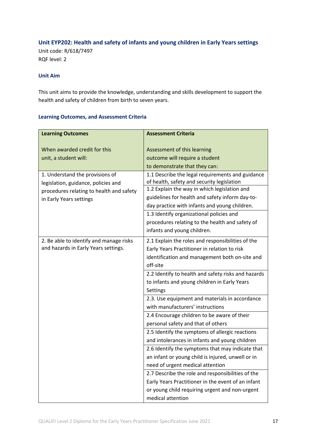# **Unit EYP202: Health and safety of infants and young children in Early Years settings**

Unit code: R/618/7497 RQF level: 2

## **Unit Aim**

This unit aims to provide the knowledge, understanding and skills development to support the health and safety of children from birth to seven years.

| <b>Learning Outcomes</b>                                               | <b>Assessment Criteria</b>                                                                     |
|------------------------------------------------------------------------|------------------------------------------------------------------------------------------------|
| When awarded credit for this<br>unit, a student will:                  | Assessment of this learning<br>outcome will require a student                                  |
|                                                                        | to demonstrate that they can:                                                                  |
| 1. Understand the provisions of<br>legislation, guidance, policies and | 1.1 Describe the legal requirements and guidance<br>of health, safety and security legislation |
| procedures relating to health and safety                               | 1.2 Explain the way in which legislation and                                                   |
| in Early Years settings                                                | guidelines for health and safety inform day-to-                                                |
|                                                                        | day practice with infants and young children.                                                  |
|                                                                        | 1.3 Identify organizational policies and                                                       |
|                                                                        | procedures relating to the health and safety of                                                |
|                                                                        | infants and young children.                                                                    |
| 2. Be able to identify and manage risks                                | 2.1 Explain the roles and responsibilities of the                                              |
| and hazards in Early Years settings.                                   | Early Years Practitioner in relation to risk                                                   |
|                                                                        | identification and management both on-site and                                                 |
|                                                                        | off-site                                                                                       |
|                                                                        | 2.2 Identify to health and safety risks and hazards                                            |
|                                                                        | to infants and young children in Early Years                                                   |
|                                                                        | Settings                                                                                       |
|                                                                        | 2.3. Use equipment and materials in accordance                                                 |
|                                                                        | with manufacturers' instructions                                                               |
|                                                                        | 2.4 Encourage children to be aware of their                                                    |
|                                                                        | personal safety and that of others                                                             |
|                                                                        | 2.5 Identify the symptoms of allergic reactions                                                |
|                                                                        | and intolerances in infants and young children                                                 |
|                                                                        | 2.6 Identify the symptoms that may indicate that                                               |
|                                                                        | an infant or young child is injured, unwell or in                                              |
|                                                                        | need of urgent medical attention                                                               |
|                                                                        | 2.7 Describe the role and responsibilities of the                                              |
|                                                                        | Early Years Practitioner in the event of an infant                                             |
|                                                                        | or young child requiring urgent and non-urgent                                                 |
|                                                                        | medical attention                                                                              |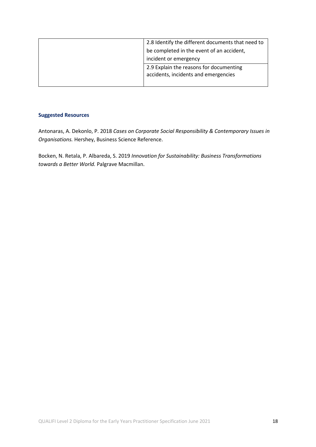| 2.8 Identify the different documents that need to                               |
|---------------------------------------------------------------------------------|
| be completed in the event of an accident,                                       |
| incident or emergency                                                           |
| 2.9 Explain the reasons for documenting<br>accidents, incidents and emergencies |
|                                                                                 |

Antonaras, A. Dekonlo, P. 2018 *Cases on Corporate Social Responsibility & Contemporary Issues in Organisations.* Hershey, Business Science Reference.

Bocken, N. Retala, P. Albareda, S. 2019 *Innovation for Sustainability: Business Transformations towards a Better World.* Palgrave Macmillan.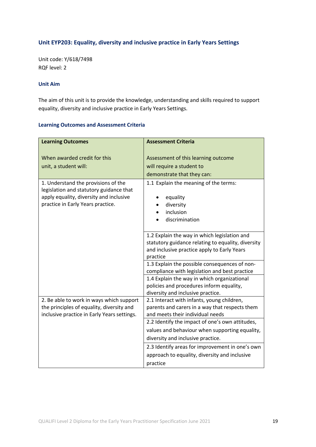# **Unit EYP203: Equality, diversity and inclusive practice in Early Years Settings**

Unit code: Y/618/7498 RQF level: 2

#### **Unit Aim**

The aim of this unit is to provide the knowledge, understanding and skills required to support equality, diversity and inclusive practice in Early Years Settings.

| <b>Learning Outcomes</b>                    | <b>Assessment Criteria</b>                                                         |
|---------------------------------------------|------------------------------------------------------------------------------------|
| When awarded credit for this                | Assessment of this learning outcome                                                |
| unit, a student will:                       | will require a student to                                                          |
|                                             |                                                                                    |
|                                             | demonstrate that they can:                                                         |
| 1. Understand the provisions of the         | 1.1 Explain the meaning of the terms:                                              |
| legislation and statutory guidance that     |                                                                                    |
| apply equality, diversity and inclusive     | equality                                                                           |
| practice in Early Years practice.           | diversity                                                                          |
|                                             | inclusion<br>discrimination                                                        |
|                                             |                                                                                    |
|                                             | 1.2 Explain the way in which legislation and                                       |
|                                             | statutory guidance relating to equality, diversity                                 |
|                                             | and inclusive practice apply to Early Years                                        |
|                                             | practice                                                                           |
|                                             | 1.3 Explain the possible consequences of non-                                      |
|                                             | compliance with legislation and best practice                                      |
|                                             | 1.4 Explain the way in which organizational                                        |
|                                             | policies and procedures inform equality,                                           |
|                                             | diversity and inclusive practice.                                                  |
| 2. Be able to work in ways which support    | 2.1 Interact with infants, young children,                                         |
| the principles of equality, diversity and   | parents and carers in a way that respects them<br>and meets their individual needs |
| inclusive practice in Early Years settings. | 2.2 Identify the impact of one's own attitudes,                                    |
|                                             |                                                                                    |
|                                             | values and behaviour when supporting equality,                                     |
|                                             | diversity and inclusive practice.                                                  |
|                                             | 2.3 Identify areas for improvement in one's own                                    |
|                                             | approach to equality, diversity and inclusive                                      |
|                                             | practice                                                                           |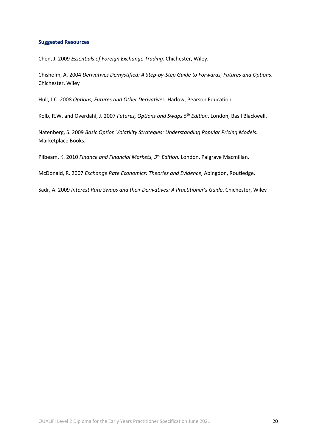Chen, J. 2009 *Essentials of Foreign Exchange Trading*. Chichester, Wiley.

Chisholm, A. 2004 *Derivatives Demystified: A Step-by-Step Guide to Forwards, Futures and Options*. Chichester, Wiley

Hull, J.C. 2008 *Options, Futures and Other Derivatives*. Harlow, Pearson Education.

Kolb, R.W. and Overdahl, J. 2007 *Futures, Options and Swaps 5th Edition*. London, Basil Blackwell.

Natenberg, S. 2009 *Basic Option Volatility Strategies: Understanding Popular Pricing Models.* Marketplace Books.

Pilbeam, K. 2010 *Finance and Financial Markets, 3rd Edition.* London, Palgrave Macmillan.

McDonald, R. 2007 *Exchange Rate Economics: Theories and Evidence*, Abingdon, Routledge.

Sadr, A. 2009 *Interest Rate Swaps and their Derivatives: A Practitioner's Guide*, Chichester, Wiley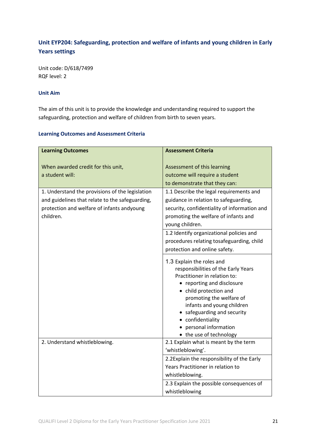# **Unit EYP204: Safeguarding, protection and welfare of infants and young children in Early Years settings**

Unit code: D/618/7499 RQF level: 2

# **Unit Aim**

The aim of this unit is to provide the knowledge and understanding required to support the safeguarding, protection and welfare of children from birth to seven years.

| <b>Learning Outcomes</b>                        | <b>Assessment Criteria</b>                                          |
|-------------------------------------------------|---------------------------------------------------------------------|
|                                                 |                                                                     |
| When awarded credit for this unit,              | Assessment of this learning                                         |
| a student will:                                 | outcome will require a student                                      |
|                                                 | to demonstrate that they can:                                       |
| 1. Understand the provisions of the legislation | 1.1 Describe the legal requirements and                             |
| and guidelines that relate to the safeguarding, | guidance in relation to safeguarding,                               |
| protection and welfare of infants andyoung      | security, confidentiality of information and                        |
| children.                                       | promoting the welfare of infants and                                |
|                                                 | young children.                                                     |
|                                                 | 1.2 Identify organizational policies and                            |
|                                                 | procedures relating tosafeguarding, child                           |
|                                                 | protection and online safety.                                       |
|                                                 |                                                                     |
|                                                 | 1.3 Explain the roles and                                           |
|                                                 | responsibilities of the Early Years<br>Practitioner in relation to: |
|                                                 | • reporting and disclosure                                          |
|                                                 | • child protection and                                              |
|                                                 | promoting the welfare of                                            |
|                                                 | infants and young children                                          |
|                                                 | • safeguarding and security                                         |
|                                                 | • confidentiality                                                   |
|                                                 | personal information                                                |
|                                                 | • the use of technology                                             |
| 2. Understand whistleblowing.                   | 2.1 Explain what is meant by the term                               |
|                                                 | 'whistleblowing'.                                                   |
|                                                 | 2.2Explain the responsibility of the Early                          |
|                                                 | Years Practitioner in relation to                                   |
|                                                 | whistleblowing.                                                     |
|                                                 | 2.3 Explain the possible consequences of                            |
|                                                 | whistleblowing                                                      |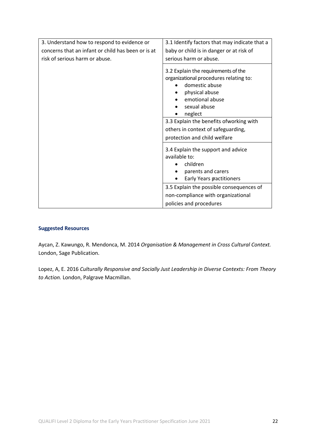| 3. Understand how to respond to evidence or        | 3.1 Identify factors that may indicate that a                                                                                                                                                                                                                                    |
|----------------------------------------------------|----------------------------------------------------------------------------------------------------------------------------------------------------------------------------------------------------------------------------------------------------------------------------------|
| concerns that an infant or child has been or is at | baby or child is in danger or at risk of                                                                                                                                                                                                                                         |
| risk of serious harm or abuse.                     | serious harm or abuse.                                                                                                                                                                                                                                                           |
|                                                    | 3.2 Explain the requirements of the<br>organizational procedures relating to:<br>domestic abuse<br>physical abuse<br>emotional abuse<br>sexual abuse<br>neglect<br>3.3 Explain the benefits ofworking with<br>others in context of safeguarding,<br>protection and child welfare |
|                                                    | 3.4 Explain the support and advice<br>available to:<br>children<br>parents and carers<br>Early Years pactitioners<br>٠<br>3.5 Explain the possible consequences of<br>non-compliance with organizational<br>policies and procedures                                              |

Aycan, Z. Kawungo, R. Mendonca, M. 2014 *Organisation & Management in Cross Cultural Context.*  London, Sage Publication.

Lopez, A, E. 2016 *Culturally Responsive and Socially Just Leadership in Diverse Contexts: From Theory to Action.* London, Palgrave Macmillan.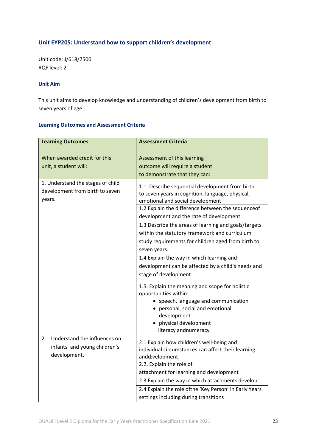# **Unit EYP205: Understand how to support children's development**

Unit code: J/618/7500 RQF level: 2

#### **Unit Aim**

This unit aims to develop knowledge and understanding of children's development from birth to seven years of age.

| <b>Learning Outcomes</b>                                                            | <b>Assessment Criteria</b>                                                                                                                                                                                                               |
|-------------------------------------------------------------------------------------|------------------------------------------------------------------------------------------------------------------------------------------------------------------------------------------------------------------------------------------|
| When awarded credit for this                                                        | Assessment of this learning                                                                                                                                                                                                              |
| unit, a student will:                                                               | outcome will require a student                                                                                                                                                                                                           |
|                                                                                     | to demonstrate that they can:                                                                                                                                                                                                            |
| 1. Understand the stages of child<br>development from birth to seven<br>years.      | 1.1. Describe sequential development from birth<br>to seven years in cognition, language, physical,<br>emotional and social development<br>1.2 Explain the difference between the sequenceof<br>development and the rate of development. |
|                                                                                     | 1.3 Describe the areas of learning and goals/targets<br>within the statutory framework and curriculum<br>study requirements for children aged from birth to<br>seven years.                                                              |
|                                                                                     | 1.4 Explain the way in which learning and<br>development can be affected by a child's needs and<br>stage of development.                                                                                                                 |
|                                                                                     | 1.5. Explain the meaning and scope for holistic<br>opportunities within:<br>• speech, language and communication<br>• personal, social and emotional<br>development<br>• physical development<br>literacy andnumeracy                    |
| Understand the influences on<br>2.<br>infants' and young children's<br>development. | 2.1 Explain how children's well-being and<br>individual circumstances can affect their learning<br>anddevelopment                                                                                                                        |
|                                                                                     | 2.2. Explain the role of<br>attachment for learning and development                                                                                                                                                                      |
|                                                                                     | 2.3 Explain the way in which attachments develop                                                                                                                                                                                         |
|                                                                                     | 2.4 Explain the role ofthe 'Key Person' in Early Years                                                                                                                                                                                   |
|                                                                                     | settings including during transitions                                                                                                                                                                                                    |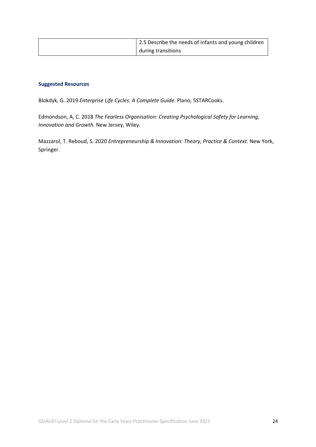| 2.5 Describe the needs of infants and young children |
|------------------------------------------------------|
| during transitions                                   |

Blokdyk, G. 2019 *Enterprise Life Cycles: A Complete Guide.* Plano, 5STARCooks.

Edmondson, A, C. 2018 *The Fearless Organisation: Creating Psychological Safety for Learning, Innovation and Growth.* New Jersey, Wiley.

Mazzarol, T. Reboud, S. 2020 *Entrepreneurship & Innovation: Theory, Practice & Context.* New York, Springer.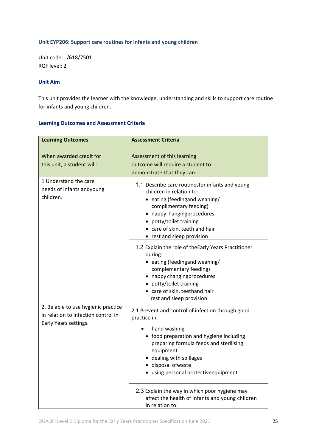#### **Unit EYP206: Support care routines for infants and young children**

Unit code: L/618/7501 RQF level: 2

## **Unit Aim**

This unit provides the learner with the knowledge, understanding and skills to support care routine for infants and young children.

| <b>Learning Outcomes</b>                                                                            | <b>Assessment Criteria</b>                                                                                                                                                                                                                                                      |
|-----------------------------------------------------------------------------------------------------|---------------------------------------------------------------------------------------------------------------------------------------------------------------------------------------------------------------------------------------------------------------------------------|
| When awarded credit for<br>this unit, a student will:                                               | Assessment of this learning<br>outcome will require a student to<br>demonstrate that they can:                                                                                                                                                                                  |
| 1 Understand the care<br>needs of infants andyoung<br>children.                                     | 1.1 Describe care routinesfor infants and young<br>children in relation to:<br>• eating (feedingand weaning/<br>complimentary feeding)<br>• nappy-hangingprocedures<br>• potty/toilet training<br>• care of skin, teeth and hair<br>• rest and sleep provision                  |
|                                                                                                     | 1.2 Explain the role of the Early Years Practitioner<br>during:<br>• eating (feedingand weaning/<br>complementary feeding)<br>• nappy changingprocedures<br>• potty/toilet training<br>• care of skin, teethand hair<br>rest and sleep provision                                |
| 2. Be able to use hygienic practice<br>in relation to infection control in<br>Early Years settings. | 2.1 Prevent and control of infection through good<br>practice in:<br>hand washing<br>• food preparation and hygiene including<br>preparing formula feeds and sterilising<br>equipment<br>• dealing with spillages<br>· disposal ofwaste<br>· using personal protectiveequipment |
|                                                                                                     | 2.3 Explain the way in which poor hygiene may<br>affect the health of infants and young children<br>in relation to:                                                                                                                                                             |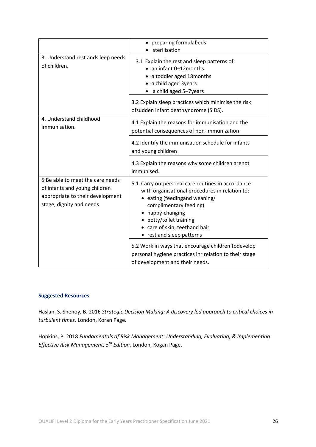|                                                                                                                                    | • preparing formulabeds<br>sterilisation                                                                                                                                                                                                                                |
|------------------------------------------------------------------------------------------------------------------------------------|-------------------------------------------------------------------------------------------------------------------------------------------------------------------------------------------------------------------------------------------------------------------------|
| 3. Understand rest ands leep needs<br>of children.                                                                                 | 3.1 Explain the rest and sleep patterns of:<br>• an infant 0-12 months<br>• a toddler aged 18 months<br>• a child aged 3years<br>• a child aged 5-7years                                                                                                                |
|                                                                                                                                    | 3.2 Explain sleep practices which minimise the risk<br>ofsudden infant deathsyndrome (SIDS).                                                                                                                                                                            |
| 4. Understand childhood<br>immunisation.                                                                                           | 4.1 Explain the reasons for immunisation and the<br>potential consequences of non-immunization                                                                                                                                                                          |
|                                                                                                                                    | 4.2 Identify the immunisation schedule for infants<br>and young children                                                                                                                                                                                                |
|                                                                                                                                    | 4.3 Explain the reasons why some children arenot<br>immunised.                                                                                                                                                                                                          |
| 5 Be able to meet the care needs<br>of infants and young children<br>appropriate to their development<br>stage, dignity and needs. | 5.1 Carry outpersonal care routines in accordance<br>with organisational procedures in relation to:<br>• eating (feedingand weaning/<br>complimentary feeding)<br>nappy-changing<br>potty/toilet training<br>• care of skin, teethand hair<br>• rest and sleep patterns |
|                                                                                                                                    | 5.2 Work in ways that encourage children todevelop<br>personal hygiene practices inr relation to their stage<br>of development and their needs.                                                                                                                         |

Haslan, S. Shenoy, B. 2016 *Strategic Decision Making: A discovery led approach to critical choices in turbulent times.* London, Koran Page.

Hopkins, P. 2018 *Fundamentals of Risk Management: Understanding, Evaluating, & Implementing Effective Risk Management; 5th Edition.* London, Kogan Page.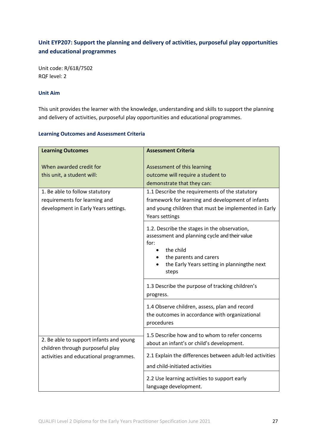# **Unit EYP207: Support the planning and delivery of activities, purposeful play opportunities and educational programmes**

Unit code: R/618/7502 RQF level: 2

## **Unit Aim**

This unit provides the learner with the knowledge, understanding and skills to support the planning and delivery of activities, purposeful play opportunities and educational programmes.

| <b>Learning Outcomes</b>                                                                                | <b>Assessment Criteria</b>                                                                                                                                                                           |
|---------------------------------------------------------------------------------------------------------|------------------------------------------------------------------------------------------------------------------------------------------------------------------------------------------------------|
| When awarded credit for<br>this unit, a student will:                                                   | Assessment of this learning<br>outcome will require a student to<br>demonstrate that they can:                                                                                                       |
| 1. Be able to follow statutory<br>requirements for learning and<br>development in Early Years settings. | 1.1 Describe the requirements of the statutory<br>framework for learning and development of infants<br>and young children that must be implemented in Early<br>Years settings                        |
|                                                                                                         | 1.2. Describe the stages in the observation,<br>assessment and planning cycle and their value<br>for:<br>the child<br>the parents and carers<br>the Early Years setting in planningthe next<br>steps |
|                                                                                                         | 1.3 Describe the purpose of tracking children's<br>progress.                                                                                                                                         |
|                                                                                                         | 1.4 Observe children, assess, plan and record<br>the outcomes in accordance with organizational<br>procedures                                                                                        |
| 2. Be able to support infants and young                                                                 | 1.5 Describe how and to whom to refer concerns<br>about an infant's or child's development.                                                                                                          |
| children through purposeful play<br>activities and educational programmes.                              | 2.1 Explain the differences between adult-led activities<br>and child-initiated activities                                                                                                           |
|                                                                                                         | 2.2 Use learning activities to support early<br>language development.                                                                                                                                |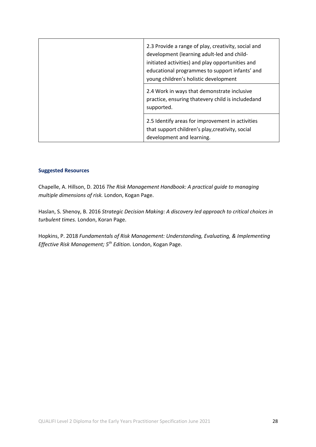|  | 2.3 Provide a range of play, creativity, social and<br>development (learning adult-led and child-<br>initiated activities) and play opportunities and<br>educational programmes to support infants' and<br>young children's holistic development<br>2.4 Work in ways that demonstrate inclusive<br>practice, ensuring thatevery child is includedand<br>supported. |
|--|--------------------------------------------------------------------------------------------------------------------------------------------------------------------------------------------------------------------------------------------------------------------------------------------------------------------------------------------------------------------|
|  | 2.5 Identify areas for improvement in activities<br>that support children's play, creativity, social<br>development and learning.                                                                                                                                                                                                                                  |

Chapelle, A. Hillson, D. 2016 *The Risk Management Handbook: A practical guide to managing multiple dimensions of risk.* London, Kogan Page.

Haslan, S. Shenoy, B. 2016 *Strategic Decision Making: A discovery led approach to critical choices in turbulent times.* London, Koran Page.

Hopkins, P. 2018 *Fundamentals of Risk Management: Understanding, Evaluating, & Implementing Effective Risk Management; 5th Edition.* London, Kogan Page.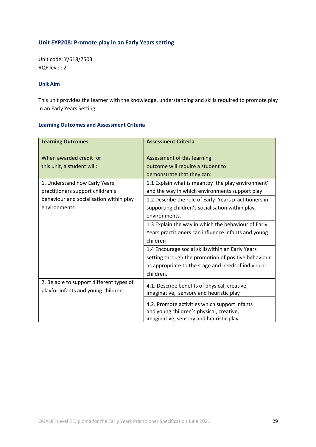# **Unit EYP208: Promote play in an Early Years setting**

Unit code: Y/618/7503 RQF level: 2

#### **Unit Aim**

This unit provides the learner with the knowledge, understanding and skills required to promote play in an Early Years Setting.

| <b>Learning Outcomes</b>                                                                                                   | <b>Assessment Criteria</b>                                                                                                                                                                                                              |
|----------------------------------------------------------------------------------------------------------------------------|-----------------------------------------------------------------------------------------------------------------------------------------------------------------------------------------------------------------------------------------|
| When awarded credit for<br>this unit, a student will:<br>1. Understand how Early Years<br>practitioners support children's | Assessment of this learning<br>outcome will require a student to<br>demonstrate that they can:<br>1.1 Explain what is meantby 'the play environment'<br>and the way in which environments support play                                  |
| behaviour and socialisation within play<br>environments.                                                                   | 1.2 Describe the role of Early Years practitioners in<br>supporting children's socialisation within play<br>environments.<br>1.3 Explain the way in which the behaviour of Early<br>Years practitioners can influence infants and young |
|                                                                                                                            | children<br>1.4 Encourage social skillswithin an Early Years<br>setting through the promotion of positive behaviour<br>as appropriate to the stage and needsof individual<br>children.                                                  |
| 2. Be able to support different types of<br>playfor infants and young children.                                            | 4.1. Describe benefits of physical, creative,<br>imaginative, sensory and heuristic play<br>4.2. Promote activities which support infants<br>and young children's physical, creative,<br>imaginative, sensory and heuristic play        |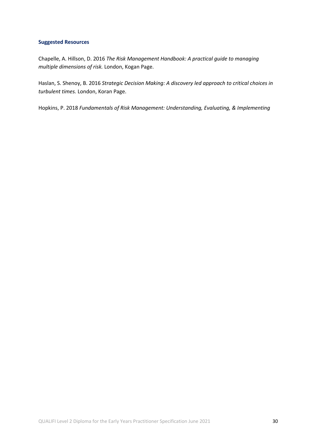Chapelle, A. Hillson, D. 2016 *The Risk Management Handbook: A practical guide to managing multiple dimensions of risk.* London, Kogan Page.

Haslan, S. Shenoy, B. 2016 *Strategic Decision Making: A discovery led approach to critical choices in turbulent times.* London, Koran Page.

Hopkins, P. 2018 *Fundamentals of Risk Management: Understanding, Evaluating, & Implementing*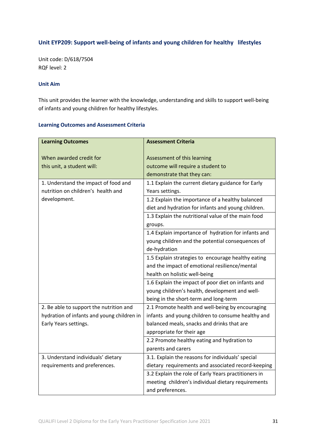# **Unit EYP209: Support well-being of infants and young children for healthy lifestyles**

Unit code: D/618/7504 RQF level: 2

#### **Unit Aim**

This unit provides the learner with the knowledge, understanding and skills to support well-being of infants and young children for healthy lifestyles.

| <b>Learning Outcomes</b>                   | <b>Assessment Criteria</b>                           |
|--------------------------------------------|------------------------------------------------------|
|                                            |                                                      |
| When awarded credit for                    | Assessment of this learning                          |
| this unit, a student will:                 | outcome will require a student to                    |
|                                            | demonstrate that they can:                           |
| 1. Understand the impact of food and       | 1.1 Explain the current dietary guidance for Early   |
| nutrition on children's health and         | Years settings.                                      |
| development.                               | 1.2 Explain the importance of a healthy balanced     |
|                                            | diet and hydration for infants and young children.   |
|                                            | 1.3 Explain the nutritional value of the main food   |
|                                            | groups.                                              |
|                                            | 1.4 Explain importance of hydration for infants and  |
|                                            | young children and the potential consequences of     |
|                                            | de-hydration                                         |
|                                            | 1.5 Explain strategies to encourage healthy eating   |
|                                            | and the impact of emotional resilience/mental        |
|                                            | health on holistic well-being                        |
|                                            | 1.6 Explain the impact of poor diet on infants and   |
|                                            | young children's health, development and well-       |
|                                            | being in the short-term and long-term                |
| 2. Be able to support the nutrition and    | 2.1 Promote health and well-being by encouraging     |
| hydration of infants and young children in | infants and young children to consume healthy and    |
| Early Years settings.                      | balanced meals, snacks and drinks that are           |
|                                            | appropriate for their age                            |
|                                            | 2.2 Promote healthy eating and hydration to          |
|                                            | parents and carers                                   |
| 3. Understand individuals' dietary         | 3.1. Explain the reasons for individuals' special    |
| requirements and preferences.              | dietary requirements and associated record-keeping   |
|                                            | 3.2 Explain the role of Early Years practitioners in |
|                                            | meeting children's individual dietary requirements   |
|                                            | and preferences.                                     |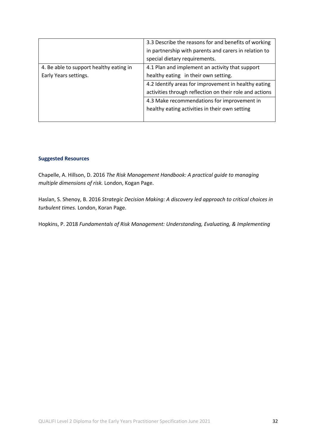|                                                                  | 3.3 Describe the reasons for and benefits of working<br>in partnership with parents and carers in relation to<br>special dietary requirements. |
|------------------------------------------------------------------|------------------------------------------------------------------------------------------------------------------------------------------------|
| 4. Be able to support healthy eating in<br>Early Years settings. | 4.1 Plan and implement an activity that support<br>healthy eating in their own setting.                                                        |
|                                                                  | 4.2 Identify areas for improvement in healthy eating<br>activities through reflection on their role and actions                                |
|                                                                  | 4.3 Make recommendations for improvement in<br>healthy eating activities in their own setting                                                  |

Chapelle, A. Hillson, D. 2016 *The Risk Management Handbook: A practical guide to managing multiple dimensions of risk.* London, Kogan Page.

Haslan, S. Shenoy, B. 2016 *Strategic Decision Making: A discovery led approach to critical choices in turbulent times.* London, Koran Page.

Hopkins, P. 2018 *Fundamentals of Risk Management: Understanding, Evaluating, & Implementing*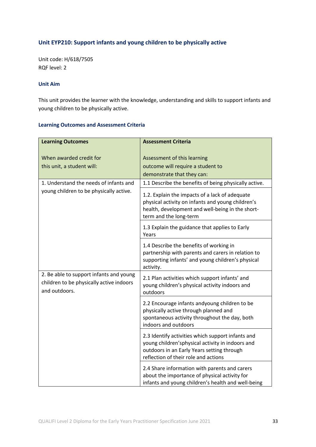# **Unit EYP210: Support infants and young children to be physically active**

Unit code: H/618/7505 RQF level: 2

#### **Unit Aim**

This unit provides the learner with the knowledge, understanding and skills to support infants and young children to be physically active.

| <b>Learning Outcomes</b>                                                                             | <b>Assessment Criteria</b>                                                                                                                                                                  |
|------------------------------------------------------------------------------------------------------|---------------------------------------------------------------------------------------------------------------------------------------------------------------------------------------------|
| When awarded credit for<br>this unit, a student will:                                                | Assessment of this learning<br>outcome will require a student to<br>demonstrate that they can:                                                                                              |
| 1. Understand the needs of infants and                                                               | 1.1 Describe the benefits of being physically active.                                                                                                                                       |
| young children to be physically active.                                                              | 1.2. Explain the impacts of a lack of adequate<br>physical activity on infants and young children's<br>health, development and well-being in the short-<br>term and the long-term           |
|                                                                                                      | 1.3 Explain the guidance that applies to Early<br>Years                                                                                                                                     |
|                                                                                                      | 1.4 Describe the benefits of working in<br>partnership with parents and carers in relation to<br>supporting infants' and young children's physical<br>activity.                             |
| 2. Be able to support infants and young<br>children to be physically active indoors<br>and outdoors. | 2.1 Plan activities which support infants' and<br>young children's physical activity indoors and<br>outdoors                                                                                |
|                                                                                                      | 2.2 Encourage infants andyoung children to be<br>physically active through planned and<br>spontaneous activity throughout the day, both<br>indoors and outdoors                             |
|                                                                                                      | 2.3 Identify activities which support infants and<br>young children'sphysical activity in indoors and<br>outdoors in an Early Years setting through<br>reflection of their role and actions |
|                                                                                                      | 2.4 Share information with parents and carers<br>about the importance of physical activity for<br>infants and young children's health and well-being                                        |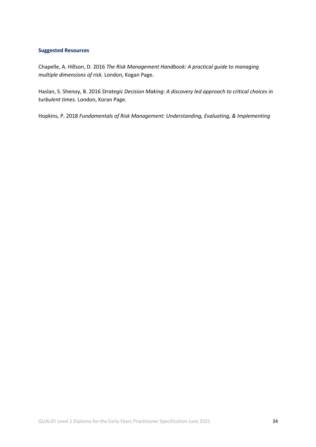Chapelle, A. Hillson, D. 2016 *The Risk Management Handbook: A practical guide to managing multiple dimensions of risk.* London, Kogan Page.

Haslan, S. Shenoy, B. 2016 *Strategic Decision Making: A discovery led approach to critical choices in turbulent times.* London, Koran Page.

Hopkins, P. 2018 *Fundamentals of Risk Management: Understanding, Evaluating, & Implementing*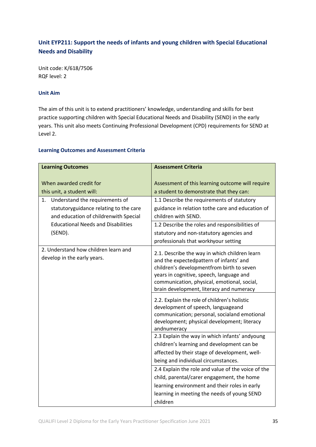# **Unit EYP211: Support the needs of infants and young children with Special Educational Needs and Disability**

Unit code: K/618/7506 RQF level: 2

#### **Unit Aim**

The aim of this unit is to extend practitioners' knowledge, understanding and skills for best practice supporting children with Special Educational Needs and Disability (SEND) in the early years. This unit also meets Continuing Professional Development (CPD) requirements for SEND at Level 2.

| <b>Learning Outcomes</b>                                                                                                | <b>Assessment Criteria</b>                                                                                                                                                                                                                                                   |
|-------------------------------------------------------------------------------------------------------------------------|------------------------------------------------------------------------------------------------------------------------------------------------------------------------------------------------------------------------------------------------------------------------------|
| When awarded credit for<br>this unit, a student will:                                                                   | Assessment of this learning outcome will require<br>a student to demonstrate that they can:                                                                                                                                                                                  |
| Understand the requirements of<br>1.<br>statutoryguidance relating to the care<br>and education of childrenwith Special | 1.1 Describe the requirements of statutory<br>guidance in relation tothe care and education of<br>children with SEND.                                                                                                                                                        |
| <b>Educational Needs and Disabilities</b><br>(SEND).                                                                    | 1.2 Describe the roles and responsibilities of<br>statutory and non-statutory agencies and<br>professionals that workhyour setting                                                                                                                                           |
| 2. Understand how children learn and<br>develop in the early years.                                                     | 2.1. Describe the way in which children learn<br>and the expectedpattern of infants' and<br>children's developmentfrom birth to seven<br>years in cognitive, speech, language and<br>communication, physical, emotional, social,<br>brain development, literacy and numeracy |
|                                                                                                                         | 2.2. Explain the role of children's holistic<br>development of speech, languageand<br>communication; personal, socialand emotional<br>development; physical development; literacy<br>andnumeracy                                                                             |
|                                                                                                                         | 2.3 Explain the way in which infants' andyoung<br>children's learning and development can be<br>affected by their stage of development, well-                                                                                                                                |
|                                                                                                                         | being and individual circumstances.<br>2.4 Explain the role and value of the voice of the                                                                                                                                                                                    |
|                                                                                                                         | child, parental/carer engagement, the home<br>learning environment and their roles in early                                                                                                                                                                                  |
|                                                                                                                         | learning in meeting the needs of young SEND<br>children                                                                                                                                                                                                                      |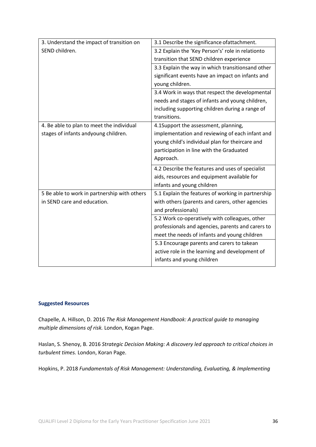| 3. Understand the impact of transition on    | 3.1 Describe the significance ofattachment.        |
|----------------------------------------------|----------------------------------------------------|
| SEND children.                               | 3.2 Explain the 'Key Person's' role in relationto  |
|                                              | transition that SEND children experience           |
|                                              | 3.3 Explain the way in which transitionsand other  |
|                                              | significant events have an impact on infants and   |
|                                              | young children.                                    |
|                                              | 3.4 Work in ways that respect the developmental    |
|                                              | needs and stages of infants and young children,    |
|                                              | including supporting children during a range of    |
|                                              | transitions.                                       |
| 4. Be able to plan to meet the individual    | 4.1Support the assessment, planning,               |
| stages of infants andyoung children.         | implementation and reviewing of each infant and    |
|                                              | young child's individual plan for theircare and    |
|                                              | participation in line with the Graduated           |
|                                              | Approach.                                          |
|                                              | 4.2 Describe the features and uses of specialist   |
|                                              | aids, resources and equipment available for        |
|                                              | infants and young children                         |
| 5 Be able to work in partnership with others | 5.1 Explain the features of working in partnership |
| in SEND care and education.                  | with others (parents and carers, other agencies    |
|                                              | and professionals)                                 |
|                                              | 5.2 Work co-operatively with colleagues, other     |
|                                              | professionals and agencies, parents and carers to  |
|                                              | meet the needs of infants and young children       |
|                                              | 5.3 Encourage parents and carers to takean         |
|                                              | active role in the learning and development of     |
|                                              | infants and young children                         |

Chapelle, A. Hillson, D. 2016 *The Risk Management Handbook: A practical guide to managing multiple dimensions of risk.* London, Kogan Page.

Haslan, S. Shenoy, B. 2016 *Strategic Decision Making: A discovery led approach to critical choices in turbulent times.* London, Koran Page.

Hopkins, P. 2018 *Fundamentals of Risk Management: Understanding, Evaluating, & Implementing*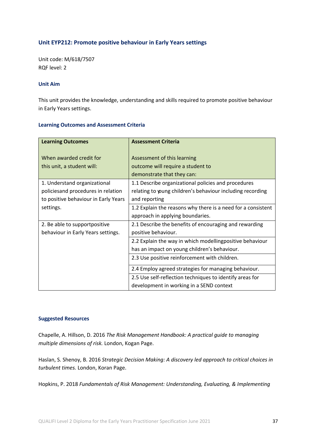## **Unit EYP212: Promote positive behaviour in Early Years settings**

Unit code: M/618/7507 RQF level: 2

#### **Unit Aim**

This unit provides the knowledge, understanding and skills required to promote positive behaviour in Early Years settings.

#### **Learning Outcomes and Assessment Criteria**

| <b>Learning Outcomes</b>                              | <b>Assessment Criteria</b>                                                                     |
|-------------------------------------------------------|------------------------------------------------------------------------------------------------|
| When awarded credit for<br>this unit, a student will: | Assessment of this learning<br>outcome will require a student to<br>demonstrate that they can: |
| 1. Understand organizational                          | 1.1 Describe organizational policies and procedures                                            |
| policiesand procedures in relation                    | relating to young children's behaviour including recording                                     |
| to positive behaviour in Early Years                  | and reporting                                                                                  |
| settings.                                             | 1.2 Explain the reasons why there is a need for a consistent                                   |
|                                                       | approach in applying boundaries.                                                               |
| 2. Be able to supportpositive                         | 2.1 Describe the benefits of encouraging and rewarding                                         |
| behaviour in Early Years settings.                    | positive behaviour.                                                                            |
|                                                       | 2.2 Explain the way in which modellingpositive behaviour                                       |
|                                                       | has an impact on young children's behaviour.                                                   |
|                                                       | 2.3 Use positive reinforcement with children.                                                  |
|                                                       | 2.4 Employ agreed strategies for managing behaviour.                                           |
|                                                       | 2.5 Use self-reflection techniques to identify areas for                                       |
|                                                       | development in working in a SEND context                                                       |

#### **Suggested Resources**

Chapelle, A. Hillson, D. 2016 *The Risk Management Handbook: A practical guide to managing multiple dimensions of risk.* London, Kogan Page.

Haslan, S. Shenoy, B. 2016 *Strategic Decision Making: A discovery led approach to critical choices in turbulent times.* London, Koran Page.

Hopkins, P. 2018 *Fundamentals of Risk Management: Understanding, Evaluating, & Implementing*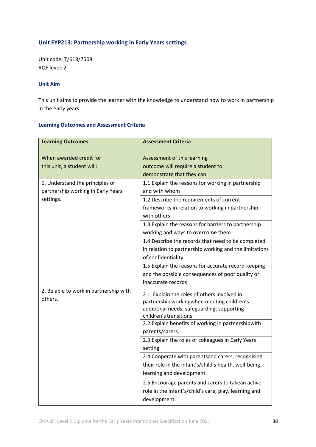# **Unit EYP213: Partnership working in Early Years settings**

Unit code: T/618/7508 RQF level: 2

#### **Unit Aim**

This unit aims to provide the learner with the knowledge to understand how to work in partnership in the early years.

| <b>Learning Outcomes</b>               | <b>Assessment Criteria</b>                                                                 |
|----------------------------------------|--------------------------------------------------------------------------------------------|
|                                        |                                                                                            |
| When awarded credit for                | Assessment of this learning                                                                |
| this unit, a student will:             | outcome will require a student to                                                          |
|                                        | demonstrate that they can:                                                                 |
| 1. Understand the principles of        | 1.1 Explain the reasons for working in partnership                                         |
| partnership working in Early Years     | and with whom                                                                              |
| settings.                              | 1.2 Describe the requirements of current                                                   |
|                                        | frameworks in relation to working in partnership                                           |
|                                        | with others                                                                                |
|                                        | 1.3 Explain the reasons for barriers to partnership                                        |
|                                        | working and ways to overcome them                                                          |
|                                        | 1.4 Describe the records that need to be completed                                         |
|                                        | in relation to partnership working and the limitations                                     |
|                                        | of confidentiality                                                                         |
|                                        | 1.5 Explain the reasons for accurate record-keeping                                        |
|                                        | and the possible consequences of poor quality or                                           |
|                                        | inaccurate records                                                                         |
| 2. Be able to work in partnership with |                                                                                            |
| others.                                | 2.1. Explain the roles of others involved in<br>partnership workingwhen meeting children's |
|                                        | additional needs; safeguarding; supporting                                                 |
|                                        | children's transitions                                                                     |
|                                        | 2.2 Explain benefits of working in partnershipwith                                         |
|                                        | parents/carers.                                                                            |
|                                        | 2.3 Explain the roles of colleagues in Early Years                                         |
|                                        | setting                                                                                    |
|                                        | 2.4 Cooperate with parentsand carers, recognising                                          |
|                                        | their role in the infant's/child's health, well-being,                                     |
|                                        | learning and development.                                                                  |
|                                        | 2.5 Encourage parents and carers to takean active                                          |
|                                        | role in the infant's/child's care, play, learning and                                      |
|                                        | development.                                                                               |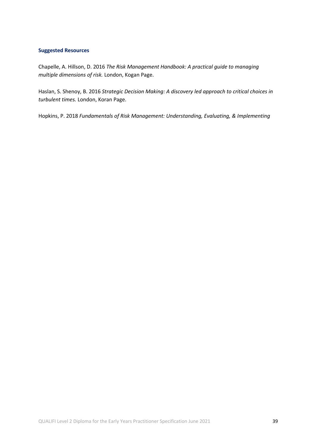Chapelle, A. Hillson, D. 2016 *The Risk Management Handbook: A practical guide to managing multiple dimensions of risk.* London, Kogan Page.

Haslan, S. Shenoy, B. 2016 *Strategic Decision Making: A discovery led approach to critical choices in turbulent times.* London, Koran Page.

Hopkins, P. 2018 *Fundamentals of Risk Management: Understanding, Evaluating, & Implementing*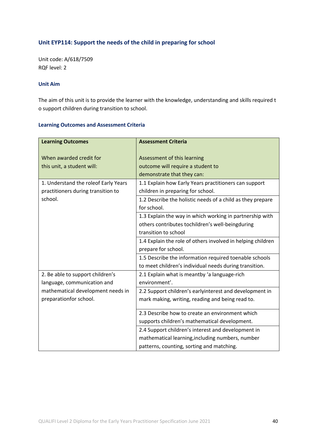# **Unit EYP114: Support the needs of the child in preparing for school**

Unit code: A/618/7509 RQF level: 2

#### **Unit Aim**

The aim of this unit is to provide the learner with the knowledge, understanding and skills required t o support children during transition to school.

| <b>Learning Outcomes</b>                                                   | <b>Assessment Criteria</b>                                                                                                                          |
|----------------------------------------------------------------------------|-----------------------------------------------------------------------------------------------------------------------------------------------------|
| When awarded credit for<br>this unit, a student will:                      | Assessment of this learning<br>outcome will require a student to<br>demonstrate that they can:                                                      |
| 1. Understand the roleof Early Years<br>practitioners during transition to | 1.1 Explain how Early Years practitioners can support<br>children in preparing for school.                                                          |
| school.                                                                    | 1.2 Describe the holistic needs of a child as they prepare<br>for school.                                                                           |
|                                                                            | 1.3 Explain the way in which working in partnership with<br>others contributes tochildren's well-beingduring<br>transition to school                |
|                                                                            | 1.4 Explain the role of others involved in helping children<br>prepare for school.                                                                  |
|                                                                            | 1.5 Describe the information required toenable schools<br>to meet children's individual needs during transition.                                    |
| 2. Be able to support children's<br>language, communication and            | 2.1 Explain what is meantby 'a language-rich<br>environment'.                                                                                       |
| mathematical development needs in<br>preparationfor school.                | 2.2 Support children's earlyinterest and development in<br>mark making, writing, reading and being read to.                                         |
|                                                                            | 2.3 Describe how to create an environment which<br>supports children's mathematical development.                                                    |
|                                                                            | 2.4 Support children's interest and development in<br>mathematical learning, including numbers, number<br>patterns, counting, sorting and matching. |